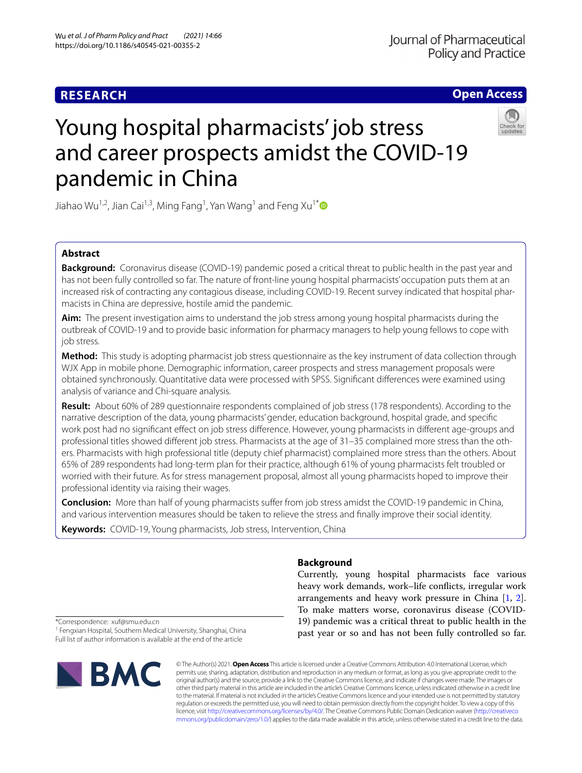# **RESEARCH**

# **Open Access**



# Young hospital pharmacists' job stress and career prospects amidst the COVID-19 pandemic in China

Jiahao Wu $^{1,2}$ , Jian Cai $^{1,3}$ , Ming Fang $^1$ , Yan Wang $^1$  and Feng Xu $^{1\ast}$ 

# **Abstract**

**Background:** Coronavirus disease (COVID-19) pandemic posed a critical threat to public health in the past year and has not been fully controlled so far. The nature of front-line young hospital pharmacists' occupation puts them at an increased risk of contracting any contagious disease, including COVID-19. Recent survey indicated that hospital pharmacists in China are depressive, hostile amid the pandemic.

**Aim:** The present investigation aims to understand the job stress among young hospital pharmacists during the outbreak of COVID-19 and to provide basic information for pharmacy managers to help young fellows to cope with job stress.

**Method:** This study is adopting pharmacist job stress questionnaire as the key instrument of data collection through WJX App in mobile phone. Demographic information, career prospects and stress management proposals were obtained synchronously. Quantitative data were processed with SPSS. Signifcant diferences were examined using analysis of variance and Chi-square analysis.

**Result:** About 60% of 289 questionnaire respondents complained of job stress (178 respondents). According to the narrative description of the data, young pharmacists' gender, education background, hospital grade, and specifc work post had no signifcant efect on job stress diference. However, young pharmacists in diferent age-groups and professional titles showed diferent job stress. Pharmacists at the age of 31–35 complained more stress than the others. Pharmacists with high professional title (deputy chief pharmacist) complained more stress than the others. About 65% of 289 respondents had long-term plan for their practice, although 61% of young pharmacists felt troubled or worried with their future. As for stress management proposal, almost all young pharmacists hoped to improve their professional identity via raising their wages.

**Conclusion:** More than half of young pharmacists sufer from job stress amidst the COVID-19 pandemic in China, and various intervention measures should be taken to relieve the stress and fnally improve their social identity.

**Keywords:** COVID-19, Young pharmacists, Job stress, Intervention, China

# **Background**

Currently, young hospital pharmacists face various heavy work demands, work–life conficts, irregular work arrangements and heavy work pressure in China [\[1](#page-4-0), [2](#page-4-1)]. To make matters worse, coronavirus disease (COVID-19) pandemic was a critical threat to public health in the past year or so and has not been fully controlled so far.

\*Correspondence: xuf@smu.edu.cn

<sup>1</sup> Fengxian Hospital, Southern Medical University, Shanghai, China Full list of author information is available at the end of the article



© The Author(s) 2021. **Open Access** This article is licensed under a Creative Commons Attribution 4.0 International License, which permits use, sharing, adaptation, distribution and reproduction in any medium or format, as long as you give appropriate credit to the original author(s) and the source, provide a link to the Creative Commons licence, and indicate if changes were made. The images or other third party material in this article are included in the article's Creative Commons licence, unless indicated otherwise in a credit line to the material. If material is not included in the article's Creative Commons licence and your intended use is not permitted by statutory regulation or exceeds the permitted use, you will need to obtain permission directly from the copyright holder. To view a copy of this licence, visit [http://creativecommons.org/licenses/by/4.0/.](http://creativecommons.org/licenses/by/4.0/) The Creative Commons Public Domain Dedication waiver ([http://creativeco](http://creativecommons.org/publicdomain/zero/1.0/) [mmons.org/publicdomain/zero/1.0/](http://creativecommons.org/publicdomain/zero/1.0/)) applies to the data made available in this article, unless otherwise stated in a credit line to the data.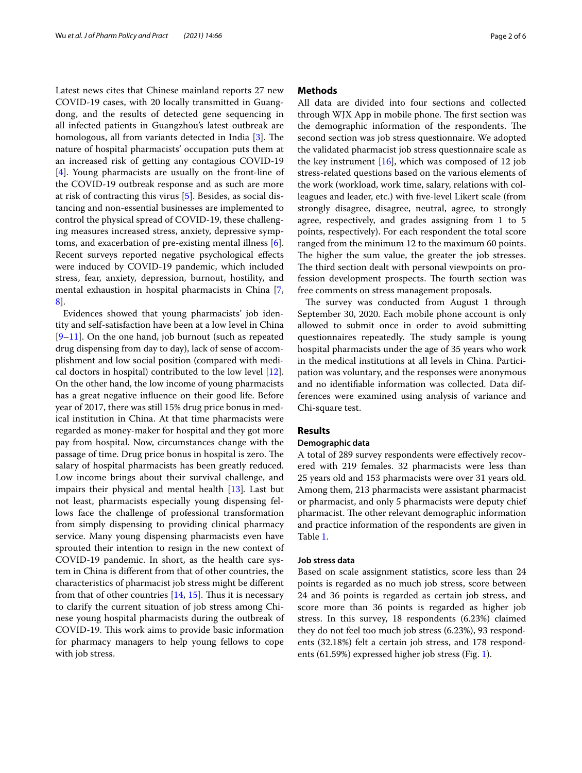Latest news cites that Chinese mainland reports 27 new COVID-19 cases, with 20 locally transmitted in Guangdong, and the results of detected gene sequencing in all infected patients in Guangzhou's latest outbreak are homologous, all from variants detected in India  $[3]$  $[3]$ . The nature of hospital pharmacists' occupation puts them at an increased risk of getting any contagious COVID-19 [[4\]](#page-4-3). Young pharmacists are usually on the front-line of the COVID-19 outbreak response and as such are more at risk of contracting this virus [\[5](#page-4-4)]. Besides, as social distancing and non-essential businesses are implemented to control the physical spread of COVID-19, these challenging measures increased stress, anxiety, depressive symptoms, and exacerbation of pre-existing mental illness [\[6](#page-4-5)]. Recent surveys reported negative psychological efects were induced by COVID-19 pandemic, which included stress, fear, anxiety, depression, burnout, hostility, and mental exhaustion in hospital pharmacists in China [\[7](#page-4-6), [8\]](#page-4-7).

Evidences showed that young pharmacists' job identity and self-satisfaction have been at a low level in China  $[9-11]$  $[9-11]$ . On the one hand, job burnout (such as repeated drug dispensing from day to day), lack of sense of accomplishment and low social position (compared with medical doctors in hospital) contributed to the low level [\[12](#page-4-10)]. On the other hand, the low income of young pharmacists has a great negative infuence on their good life. Before year of 2017, there was still 15% drug price bonus in medical institution in China. At that time pharmacists were regarded as money-maker for hospital and they got more pay from hospital. Now, circumstances change with the passage of time. Drug price bonus in hospital is zero. The salary of hospital pharmacists has been greatly reduced. Low income brings about their survival challenge, and impairs their physical and mental health [\[13](#page-4-11)]*.* Last but not least, pharmacists especially young dispensing fellows face the challenge of professional transformation from simply dispensing to providing clinical pharmacy service. Many young dispensing pharmacists even have sprouted their intention to resign in the new context of COVID-19 pandemic. In short, as the health care system in China is diferent from that of other countries, the characteristics of pharmacist job stress might be diferent from that of other countries  $[14, 15]$  $[14, 15]$  $[14, 15]$  $[14, 15]$  $[14, 15]$ . Thus it is necessary to clarify the current situation of job stress among Chinese young hospital pharmacists during the outbreak of COVID-19. This work aims to provide basic information for pharmacy managers to help young fellows to cope with job stress.

## **Methods**

All data are divided into four sections and collected through WJX App in mobile phone. The first section was the demographic information of the respondents. The second section was job stress questionnaire. We adopted the validated pharmacist job stress questionnaire scale as the key instrument  $[16]$  $[16]$  $[16]$ , which was composed of 12 job stress-related questions based on the various elements of the work (workload, work time, salary, relations with colleagues and leader, etc.) with fve-level Likert scale (from strongly disagree, disagree, neutral, agree, to strongly agree, respectively, and grades assigning from 1 to 5 points, respectively). For each respondent the total score ranged from the minimum 12 to the maximum 60 points. The higher the sum value, the greater the job stresses. The third section dealt with personal viewpoints on profession development prospects. The fourth section was free comments on stress management proposals.

The survey was conducted from August 1 through September 30, 2020. Each mobile phone account is only allowed to submit once in order to avoid submitting questionnaires repeatedly. The study sample is young hospital pharmacists under the age of 35 years who work in the medical institutions at all levels in China. Participation was voluntary, and the responses were anonymous and no identifable information was collected. Data differences were examined using analysis of variance and Chi-square test.

# **Results**

# **Demographic data**

A total of 289 survey respondents were efectively recovered with 219 females. 32 pharmacists were less than 25 years old and 153 pharmacists were over 31 years old. Among them, 213 pharmacists were assistant pharmacist or pharmacist, and only 5 pharmacists were deputy chief pharmacist. The other relevant demographic information and practice information of the respondents are given in Table [1](#page-2-0).

## **Job stress data**

Based on scale assignment statistics, score less than 24 points is regarded as no much job stress, score between 24 and 36 points is regarded as certain job stress, and score more than 36 points is regarded as higher job stress. In this survey, 18 respondents (6.23%) claimed they do not feel too much job stress (6.23%), 93 respondents (32.18%) felt a certain job stress, and 178 respondents (61.59%) expressed higher job stress (Fig. [1](#page-2-1)).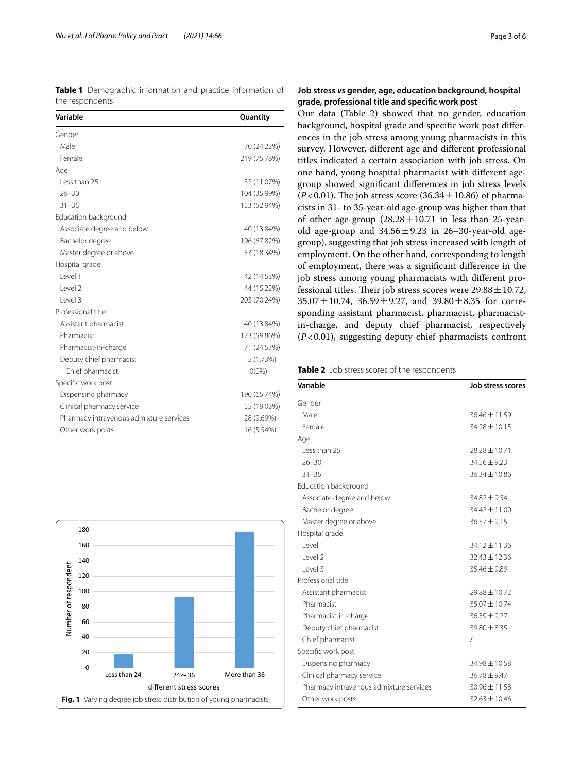<span id="page-2-0"></span>**Table 1** Demographic information and practice information of the respondents

| Variable                                | Quantity     |
|-----------------------------------------|--------------|
| Gender                                  |              |
| Male                                    | 70 (24.22%)  |
| Female                                  | 219 (75.78%) |
| Age                                     |              |
| Less than 25                            | 32 (11.07%)  |
| $26 - 30$                               | 104 (35.99%) |
| $31 - 35$                               | 153 (52.94%) |
| Education background                    |              |
| Associate degree and below              | 40 (13.84%)  |
| Bachelor degree                         | 196 (67.82%) |
| Master degree or above                  | 53 (18.34%)  |
| Hospital grade                          |              |
| l evel 1                                | 42 (14.53%)  |
| l evel 2                                | 44 (15.22%)  |
| Level 3                                 | 203 (70.24%) |
| Professional title                      |              |
| Assistant pharmacist                    | 40 (13.84%)  |
| Pharmacist                              | 173 (59.86%) |
| Pharmacist-in-charge                    | 71 (24.57%)  |
| Deputy chief pharmacist                 | 5 (1.73%)    |
| Chief pharmacist                        | $O(0\%)$     |
| Specific work post                      |              |
| Dispensing pharmacy                     | 190 (65.74%) |
| Clinical pharmacy service               | 55 (19.03%)  |
| Pharmacy intravenous admixture services | 28 (9.69%)   |
| Other work posts                        | 16 (5.54%)   |

<span id="page-2-1"></span>

# **Job stress** *vs* **gender, age, education background, hospital grade, professional title and specifc work post**

Our data (Table [2\)](#page-2-2) showed that no gender, education background, hospital grade and specifc work post diferences in the job stress among young pharmacists in this survey. However, diferent age and diferent professional titles indicated a certain association with job stress. On one hand, young hospital pharmacist with diferent agegroup showed signifcant diferences in job stress levels  $(P<0.01)$ . The job stress score  $(36.34 \pm 10.86)$  of pharmacists in 31- to 35-year-old age-group was higher than that of other age-group  $(28.28 \pm 10.71)$  in less than 25-yearold age-group and  $34.56 \pm 9.23$  in 26–30-year-old agegroup), suggesting that job stress increased with length of employment. On the other hand, corresponding to length of employment, there was a signifcant diference in the job stress among young pharmacists with diferent professional titles. Their job stress scores were  $29.88 \pm 10.72$ ,  $35.07 \pm 10.74$ ,  $36.59 \pm 9.27$ , and  $39.80 \pm 8.35$  for corresponding assistant pharmacist, pharmacist, pharmacistin-charge, and deputy chief pharmacist, respectively (*P*<0.01), suggesting deputy chief pharmacists confront

<span id="page-2-2"></span>**Table 2** Job stress scores of the respondents

| Variable                                | Job stress scores |
|-----------------------------------------|-------------------|
| Gender                                  |                   |
| Male                                    | $36.46 \pm 11.59$ |
| Female                                  | $34.28 \pm 10.15$ |
| Age                                     |                   |
| Less than 25                            | $78.28 \pm 10.71$ |
| $26 - 30$                               | $34.56 \pm 9.23$  |
| $31 - 35$                               | 36.34 ± 10.86     |
| Education background                    |                   |
| Associate degree and below              | $34.82 \pm 9.54$  |
| Bachelor degree                         | $34.42 \pm 11.00$ |
| Master degree or above                  | $36.57 \pm 9.15$  |
| Hospital grade                          |                   |
| l evel 1                                | $34.12 \pm 11.36$ |
| level <sub>2</sub>                      | $32.43 \pm 12.36$ |
| Level 3                                 | $35.46 \pm 9.89$  |
| Professional title                      |                   |
| Assistant pharmacist                    | $29.88 \pm 10.72$ |
| Pharmacist                              | 35.07 ± 10.74     |
| Pharmacist-in-charge                    | $36.59 \pm 9.27$  |
| Deputy chief pharmacist                 | $39.80 \pm 8.35$  |
| Chief pharmacist                        | $\prime$          |
| Specific work post                      |                   |
| Dispensing pharmacy                     | $34.98 + 10.58$   |
| Clinical pharmacy service               | $36.78 \pm 9.47$  |
| Pharmacy intravenous admixture services | $30.96 \pm 11.58$ |
| Other work posts                        | $32.63 \pm 10.46$ |
|                                         |                   |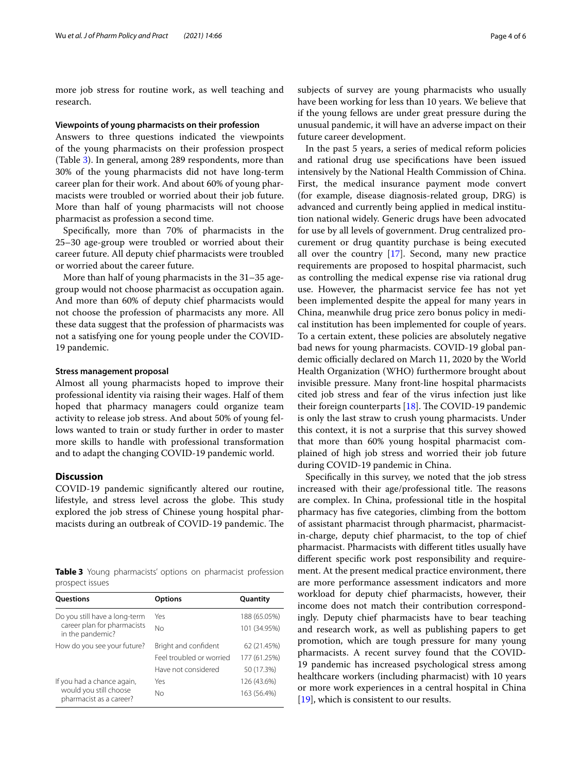more job stress for routine work, as well teaching and research.

#### **Viewpoints of young pharmacists on their profession**

Answers to three questions indicated the viewpoints of the young pharmacists on their profession prospect (Table [3\)](#page-3-0). In general, among 289 respondents, more than 30% of the young pharmacists did not have long-term career plan for their work. And about 60% of young pharmacists were troubled or worried about their job future. More than half of young pharmacists will not choose pharmacist as profession a second time.

Specifcally, more than 70% of pharmacists in the 25–30 age-group were troubled or worried about their career future. All deputy chief pharmacists were troubled or worried about the career future.

More than half of young pharmacists in the 31–35 agegroup would not choose pharmacist as occupation again. And more than 60% of deputy chief pharmacists would not choose the profession of pharmacists any more. All these data suggest that the profession of pharmacists was not a satisfying one for young people under the COVID-19 pandemic.

## **Stress management proposal**

Almost all young pharmacists hoped to improve their professional identity via raising their wages. Half of them hoped that pharmacy managers could organize team activity to release job stress. And about 50% of young fellows wanted to train or study further in order to master more skills to handle with professional transformation and to adapt the changing COVID-19 pandemic world.

# **Discussion**

COVID-19 pandemic signifcantly altered our routine, lifestyle, and stress level across the globe. This study explored the job stress of Chinese young hospital pharmacists during an outbreak of COVID-19 pandemic. The

<span id="page-3-0"></span>**Table 3** Young pharmacists' options on pharmacist profession prospect issues

| <b>Ouestions</b>                                                                 | <b>Options</b>           | Quantity     |
|----------------------------------------------------------------------------------|--------------------------|--------------|
| Do you still have a long-term<br>career plan for pharmacists<br>in the pandemic? | Yes                      | 188 (65.05%) |
|                                                                                  | No                       | 101 (34.95%) |
| How do you see your future?                                                      | Bright and confident     | 62 (21.45%)  |
|                                                                                  | Feel troubled or worried | 177 (61.25%) |
|                                                                                  | Have not considered      | 50 (17.3%)   |
| If you had a chance again,<br>would you still choose<br>pharmacist as a career?  | Yes                      | 126 (43.6%)  |
|                                                                                  | Nο                       | 163 (56.4%)  |

subjects of survey are young pharmacists who usually have been working for less than 10 years. We believe that if the young fellows are under great pressure during the unusual pandemic, it will have an adverse impact on their future career development.

In the past 5 years, a series of medical reform policies and rational drug use specifcations have been issued intensively by the National Health Commission of China. First, the medical insurance payment mode convert (for example, disease diagnosis-related group, DRG) is advanced and currently being applied in medical institution national widely. Generic drugs have been advocated for use by all levels of government. Drug centralized procurement or drug quantity purchase is being executed all over the country [[17\]](#page-4-15). Second, many new practice requirements are proposed to hospital pharmacist, such as controlling the medical expense rise via rational drug use. However, the pharmacist service fee has not yet been implemented despite the appeal for many years in China, meanwhile drug price zero bonus policy in medical institution has been implemented for couple of years. To a certain extent, these policies are absolutely negative bad news for young pharmacists. COVID-19 global pandemic officially declared on March 11, 2020 by the World Health Organization (WHO) furthermore brought about invisible pressure. Many front-line hospital pharmacists cited job stress and fear of the virus infection just like their foreign counterparts  $[18]$  $[18]$  $[18]$ . The COVID-19 pandemic is only the last straw to crush young pharmacists. Under this context, it is not a surprise that this survey showed that more than 60% young hospital pharmacist complained of high job stress and worried their job future during COVID-19 pandemic in China.

Specifcally in this survey, we noted that the job stress increased with their age/professional title. The reasons are complex. In China, professional title in the hospital pharmacy has fve categories, climbing from the bottom of assistant pharmacist through pharmacist, pharmacistin-charge, deputy chief pharmacist, to the top of chief pharmacist. Pharmacists with diferent titles usually have diferent specifc work post responsibility and requirement. At the present medical practice environment, there are more performance assessment indicators and more workload for deputy chief pharmacists, however, their income does not match their contribution correspondingly. Deputy chief pharmacists have to bear teaching and research work, as well as publishing papers to get promotion, which are tough pressure for many young pharmacists. A recent survey found that the COVID-19 pandemic has increased psychological stress among healthcare workers (including pharmacist) with 10 years or more work experiences in a central hospital in China [[19\]](#page-5-0), which is consistent to our results.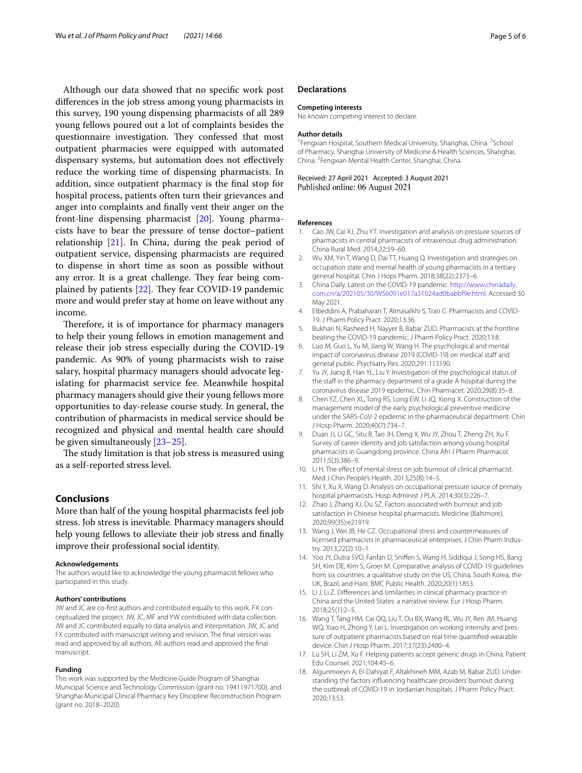Although our data showed that no specifc work post diferences in the job stress among young pharmacists in this survey, 190 young dispensing pharmacists of all 289 young fellows poured out a lot of complaints besides the questionnaire investigation. They confessed that most outpatient pharmacies were equipped with automated dispensary systems, but automation does not efectively reduce the working time of dispensing pharmacists. In addition, since outpatient pharmacy is the fnal stop for hospital process, patients often turn their grievances and anger into complaints and fnally vent their anger on the front-line dispensing pharmacist [[20\]](#page-5-1). Young pharmacists have to bear the pressure of tense doctor–patient relationship [\[21\]](#page-5-2). In China, during the peak period of outpatient service, dispensing pharmacists are required to dispense in short time as soon as possible without any error. It is a great challenge. They fear being complained by patients  $[22]$  $[22]$  $[22]$ . They fear COVID-19 pandemic more and would prefer stay at home on leave without any income.

Therefore, it is of importance for pharmacy managers to help their young fellows in emotion management and release their job stress especially during the COVID-19 pandemic. As 90% of young pharmacists wish to raise salary, hospital pharmacy managers should advocate legislating for pharmacist service fee. Meanwhile hospital pharmacy managers should give their young fellows more opportunities to day-release course study. In general, the contribution of pharmacists in medical service should be recognized and physical and mental health care should be given simultaneously [\[23–](#page-5-4)[25\]](#page-5-5).

The study limitation is that job stress is measured using as a self-reported stress level.

# **Conclusions**

More than half of the young hospital pharmacists feel job stress. Job stress is inevitable. Pharmacy managers should help young fellows to alleviate their job stress and fnally improve their professional social identity.

#### **Acknowledgements**

The authors would like to acknowledge the young pharmacist fellows who participated in this study.

#### **Authors' contributions**

JW and JC are co-frst authors and contributed equally to this work. FX conceptualized the project. JW, JC, MF and YW contributed with data collection. JW and JC contributed equally to data analysis and interpretation. JW, JC and FX contributed with manuscript writing and revision. The fnal version was read and approved by all authors. All authors read and approved the fnal manuscript.

#### **Funding**

This work was supported by the Medicine Guide Program of Shanghai Municipal Science and Technology Commission (grant no. 19411971700), and Shanghai Municipal Clinical Pharmacy Key Discipline Reconstruction Program (grant no. 2018–2020).

## **Declarations**

#### **Competing interests**

No known competing interest to declare.

#### **Author details**

<sup>1</sup> Fengxian Hospital, Southern Medical University, Shanghai, China. <sup>2</sup> School of Pharmacy, Shanghai University of Medicine & Health Sciences, Shanghai, China. 3 Fengxian Mental Health Center, Shanghai, China.

#### Received: 27 April 2021 Accepted: 3 August 2021 Published online: 06 August 2021

#### **References**

- <span id="page-4-0"></span>1. Cao JW, Cai XJ, Zhu YT. Investigation and analysis on pressure sources of pharmacists in central pharmacists of intravenous drug administration. China Rural Med. 2014;22:59–60.
- <span id="page-4-1"></span>2. Wu XM, Yin T, Wang D, Dai TT, Huang Q. Investigation and strategies on occupation state and mental health of young pharmacists in a tertiary general hospital. Chin J Hops Pharm. 2018;38(22):2373–6.
- <span id="page-4-2"></span>3. China Daily. Latest on the COVID-19 pandemic. [http://www.chinadaily.](http://www.chinadaily.com.cn/a/202105/30/WS6091e017a31024ad0babbf9e.html) [com.cn/a/202105/30/WS6091e017a31024ad0babbf9e.html](http://www.chinadaily.com.cn/a/202105/30/WS6091e017a31024ad0babbf9e.html). Accessed 30 May 2021.
- <span id="page-4-3"></span>4. Elbeddini A, Prabaharan T, Almasalkhi S, Tran C. Pharmacists and COVID-19. J Pharm Policy Pract. 2020;13:36.
- <span id="page-4-4"></span>5. Bukhari N, Rasheed H, Nayyer B, Babar ZUD. Pharmacists at the frontline beating the COVID-19 pandemic. J Pharm Policy Pract. 2020;13:8.
- <span id="page-4-5"></span>6. Luo M, Guo L, Yu M, Jiang W, Wang H. The psychological and mental impact of coronavirus disease 2019 (COVID-19) on medical staff and general public. Psychiatry Res. 2020;291:113190.
- <span id="page-4-6"></span>7. Yu JY, Jiang B, Han YL, Liu Y. Investigation of the psychological status of the staff in the pharmacy department of a grade A hospital during the coronavirus disease 2019 epidemic. Chin Pharmacet. 2020;29(8):35–8.
- <span id="page-4-7"></span>8. Chen YZ, Chen XL, Tong RS, Long EW, Li JQ, Xiong X. Construction of the management model of the early psychological preventive medicine under the SARS-CoV-2 epidemic in the pharmaceutical department. Chin J Hosp Pharm. 2020;40(7):734–7.
- <span id="page-4-8"></span>9. Duan JJ, Li GC, Situ B, Tao JH, Deng X, Wu JY, Zhou T, Zheng ZH, Xu F. Survey of career identity and job satisfaction among young hospital pharmacists in Guangdong province. China Afri J Pharm Pharmacol. 2011;5(3):386–9.
- 10. Li H. The effect of mental stress on job burnout of clinical pharmacist. Med J Chin People's Health. 2013;25(8):14–5.
- <span id="page-4-9"></span>11. Shi Y, Xu X, Wang D. Analysis on occupational pressure source of primary hospital pharmacists. Hosp Administ J PLA. 2014;30(3):226–7.
- <span id="page-4-10"></span>12. Zhao J, Zhang XJ, Du SZ. Factors associated with burnout and job satisfaction in Chinese hospital pharmacists. Medicine (Baltimore). 2020;99(35):e21919.
- <span id="page-4-11"></span>13. Wang J, Wei JB, He CZ. Occupational stress and countermeasures of licensed pharmacists in pharmaceutical enterprises. J Chin Pharm Industry. 2013;22(2):10–1.
- <span id="page-4-12"></span>14. Yoo JY, Dutra SVO, Fanfan D, Snifen S, Wang H, Siddiqui J, Song HS, Bang SH, Kim DE, Kim S, Groer M. Comparative analysis of COVID-19 guidelines from six countries: a qualitative study on the US, China, South Korea, the UK, Brazil, and Haiti. BMC Public Health. 2020;20(1):1853.
- <span id="page-4-13"></span>15. Li J, Li Z. Diferences and similarities in clinical pharmacy practice in China and the United States: a narrative review. Eur J Hosp Pharm. 2018;25(1):2–5.
- <span id="page-4-14"></span>16. Wang T, Tang HM, Cai QQ, Liu T, Ou BX, Wang RL, Wu JY, Ren JM, Huang WQ, Xiao H, Zhong Y, Lei L. Investigation on working intensity and pressure of outpatient pharmacists based on real time quantifed wearable device. Chin J Hosp Pharm. 2017;37(23):2400–4.
- <span id="page-4-15"></span>17. Lu SH, Li ZM, Xu F. Helping patients accept generic drugs in China. Patient Edu Counsel. 2021;104:45–6.
- <span id="page-4-16"></span>18. Algunmeeyn A, El-Dahiyat F, Altakhineh MM, Azab M, Babar ZUD. Understanding the factors infuencing healthcare providers' burnout during the outbreak of COVID-19 in Jordanian hospitals. J Pharm Policy Pract. 2020;13:53.